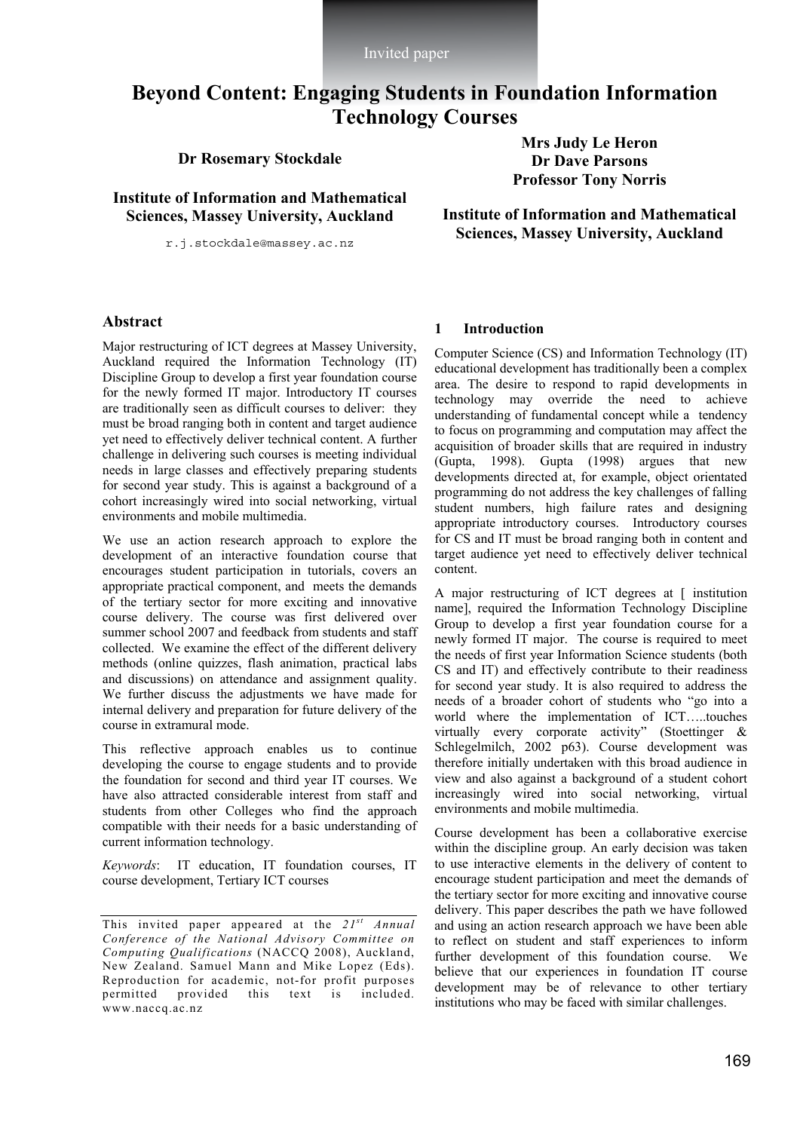Invited paper

# **Beyond Content: Engaging Students in Foundation Information Technology Courses**

**Dr Rosemary Stockdale** 

**Institute of Information and Mathematical Sciences, Massey University, Auckland** 

r.j.stockdale@massey.ac.nz

**Mrs Judy Le Heron Dr Dave Parsons Professor Tony Norris** 

**Institute of Information and Mathematical Sciences, Massey University, Auckland** 

### **Abstract**

Major restructuring of ICT degrees at Massey University, Auckland required the Information Technology (IT) Discipline Group to develop a first year foundation course for the newly formed IT major. Introductory IT courses are traditionally seen as difficult courses to deliver: they must be broad ranging both in content and target audience yet need to effectively deliver technical content. A further challenge in delivering such courses is meeting individual needs in large classes and effectively preparing students for second year study. This is against a background of a cohort increasingly wired into social networking, virtual environments and mobile multimedia.

We use an action research approach to explore the development of an interactive foundation course that encourages student participation in tutorials, covers an appropriate practical component, and meets the demands of the tertiary sector for more exciting and innovative course delivery. The course was first delivered over summer school 2007 and feedback from students and staff collected. We examine the effect of the different delivery methods (online quizzes, flash animation, practical labs and discussions) on attendance and assignment quality. We further discuss the adjustments we have made for internal delivery and preparation for future delivery of the course in extramural mode.

This reflective approach enables us to continue developing the course to engage students and to provide the foundation for second and third year IT courses. We have also attracted considerable interest from staff and students from other Colleges who find the approach compatible with their needs for a basic understanding of current information technology.

*Keywords*: IT education, IT foundation courses, IT course development, Tertiary ICT courses

#### **1 Introduction**

Computer Science (CS) and Information Technology (IT) educational development has traditionally been a complex area. The desire to respond to rapid developments in technology may override the need to achieve understanding of fundamental concept while a tendency to focus on programming and computation may affect the acquisition of broader skills that are required in industry (Gupta, 1998). Gupta (1998) argues that new developments directed at, for example, object orientated programming do not address the key challenges of falling student numbers, high failure rates and designing appropriate introductory courses. Introductory courses for CS and IT must be broad ranging both in content and target audience yet need to effectively deliver technical content.

A major restructuring of ICT degrees at [ institution name], required the Information Technology Discipline Group to develop a first year foundation course for a newly formed IT major. The course is required to meet the needs of first year Information Science students (both CS and IT) and effectively contribute to their readiness for second year study. It is also required to address the needs of a broader cohort of students who "go into a world where the implementation of ICT…..touches virtually every corporate activity" (Stoettinger & Schlegelmilch, 2002 p63). Course development was therefore initially undertaken with this broad audience in view and also against a background of a student cohort increasingly wired into social networking, virtual environments and mobile multimedia.

Course development has been a collaborative exercise within the discipline group. An early decision was taken to use interactive elements in the delivery of content to encourage student participation and meet the demands of the tertiary sector for more exciting and innovative course delivery. This paper describes the path we have followed and using an action research approach we have been able to reflect on student and staff experiences to inform further development of this foundation course. We believe that our experiences in foundation IT course development may be of relevance to other tertiary institutions who may be faced with similar challenges.

This invited paper appeared at the *21st Annual Conference of the National Advisory Committee on Computing Qualifications* (NACCQ 2008), Auckland, New Zealand. Samuel Mann and Mike Lopez (Eds). Reproduction for academic, not-for profit purposes permitted provided this text is included. www.naccq.ac.nz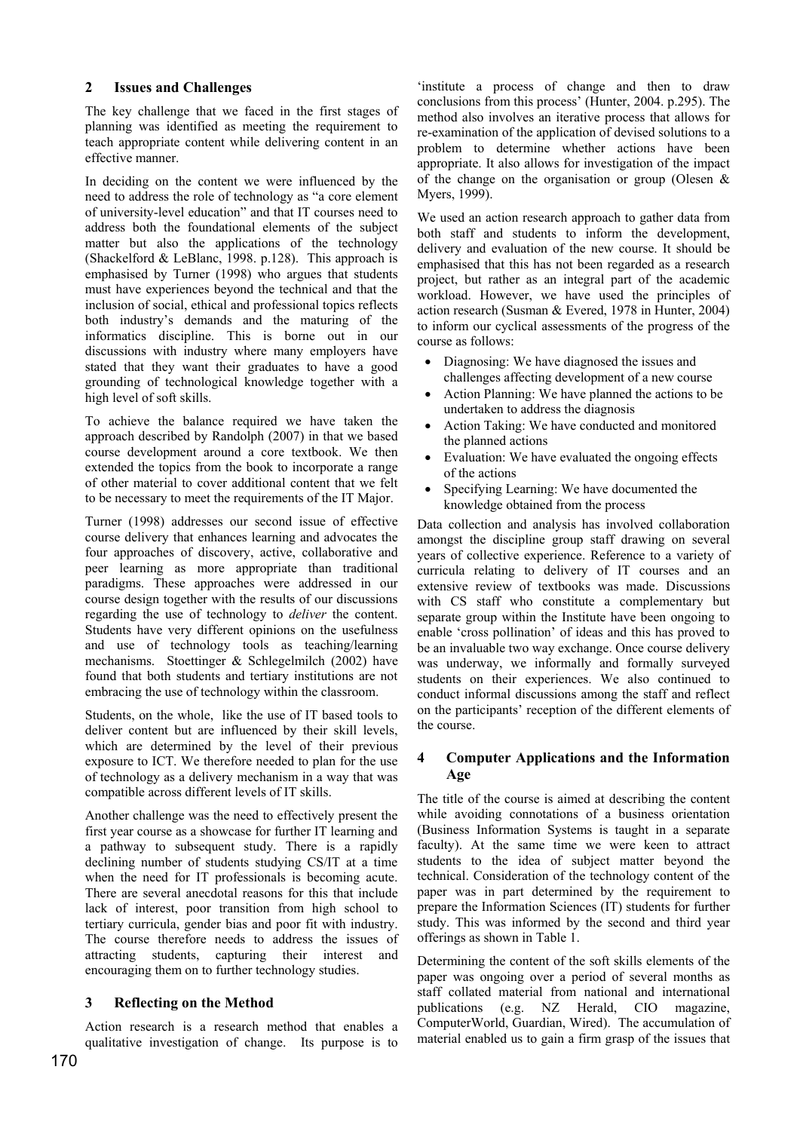#### **2 Issues and Challenges**

The key challenge that we faced in the first stages of planning was identified as meeting the requirement to teach appropriate content while delivering content in an effective manner.

In deciding on the content we were influenced by the need to address the role of technology as "a core element of university-level education" and that IT courses need to address both the foundational elements of the subject matter but also the applications of the technology (Shackelford & LeBlanc, 1998. p.128). This approach is emphasised by Turner (1998) who argues that students must have experiences beyond the technical and that the inclusion of social, ethical and professional topics reflects both industry's demands and the maturing of the informatics discipline. This is borne out in our discussions with industry where many employers have stated that they want their graduates to have a good grounding of technological knowledge together with a high level of soft skills.

To achieve the balance required we have taken the approach described by Randolph (2007) in that we based course development around a core textbook. We then extended the topics from the book to incorporate a range of other material to cover additional content that we felt to be necessary to meet the requirements of the IT Major.

Turner (1998) addresses our second issue of effective course delivery that enhances learning and advocates the four approaches of discovery, active, collaborative and peer learning as more appropriate than traditional paradigms. These approaches were addressed in our course design together with the results of our discussions regarding the use of technology to *deliver* the content. Students have very different opinions on the usefulness and use of technology tools as teaching/learning mechanisms. Stoettinger & Schlegelmilch (2002) have found that both students and tertiary institutions are not embracing the use of technology within the classroom.

Students, on the whole, like the use of IT based tools to deliver content but are influenced by their skill levels, which are determined by the level of their previous exposure to ICT. We therefore needed to plan for the use of technology as a delivery mechanism in a way that was compatible across different levels of IT skills.

Another challenge was the need to effectively present the first year course as a showcase for further IT learning and a pathway to subsequent study. There is a rapidly declining number of students studying CS/IT at a time when the need for IT professionals is becoming acute. There are several anecdotal reasons for this that include lack of interest, poor transition from high school to tertiary curricula, gender bias and poor fit with industry. The course therefore needs to address the issues of attracting students, capturing their interest and encouraging them on to further technology studies.

### **3 Reflecting on the Method**

Action research is a research method that enables a qualitative investigation of change. Its purpose is to

'institute a process of change and then to draw conclusions from this process' (Hunter, 2004. p.295). The method also involves an iterative process that allows for re-examination of the application of devised solutions to a problem to determine whether actions have been appropriate. It also allows for investigation of the impact of the change on the organisation or group (Olesen  $\&$ Myers, 1999).

We used an action research approach to gather data from both staff and students to inform the development, delivery and evaluation of the new course. It should be emphasised that this has not been regarded as a research project, but rather as an integral part of the academic workload. However, we have used the principles of action research (Susman & Evered, 1978 in Hunter, 2004) to inform our cyclical assessments of the progress of the course as follows:

- Diagnosing: We have diagnosed the issues and challenges affecting development of a new course
- Action Planning: We have planned the actions to be undertaken to address the diagnosis
- Action Taking: We have conducted and monitored the planned actions
- Evaluation: We have evaluated the ongoing effects of the actions
- Specifying Learning: We have documented the knowledge obtained from the process

Data collection and analysis has involved collaboration amongst the discipline group staff drawing on several years of collective experience. Reference to a variety of curricula relating to delivery of IT courses and an extensive review of textbooks was made. Discussions with CS staff who constitute a complementary but separate group within the Institute have been ongoing to enable 'cross pollination' of ideas and this has proved to be an invaluable two way exchange. Once course delivery was underway, we informally and formally surveyed students on their experiences. We also continued to conduct informal discussions among the staff and reflect on the participants' reception of the different elements of the course.

### **4 Computer Applications and the Information Age**

The title of the course is aimed at describing the content while avoiding connotations of a business orientation (Business Information Systems is taught in a separate faculty). At the same time we were keen to attract students to the idea of subject matter beyond the technical. Consideration of the technology content of the paper was in part determined by the requirement to prepare the Information Sciences (IT) students for further study. This was informed by the second and third year offerings as shown in Table 1.

Determining the content of the soft skills elements of the paper was ongoing over a period of several months as staff collated material from national and international publications (e.g. NZ Herald, CIO magazine, ComputerWorld, Guardian, Wired). The accumulation of material enabled us to gain a firm grasp of the issues that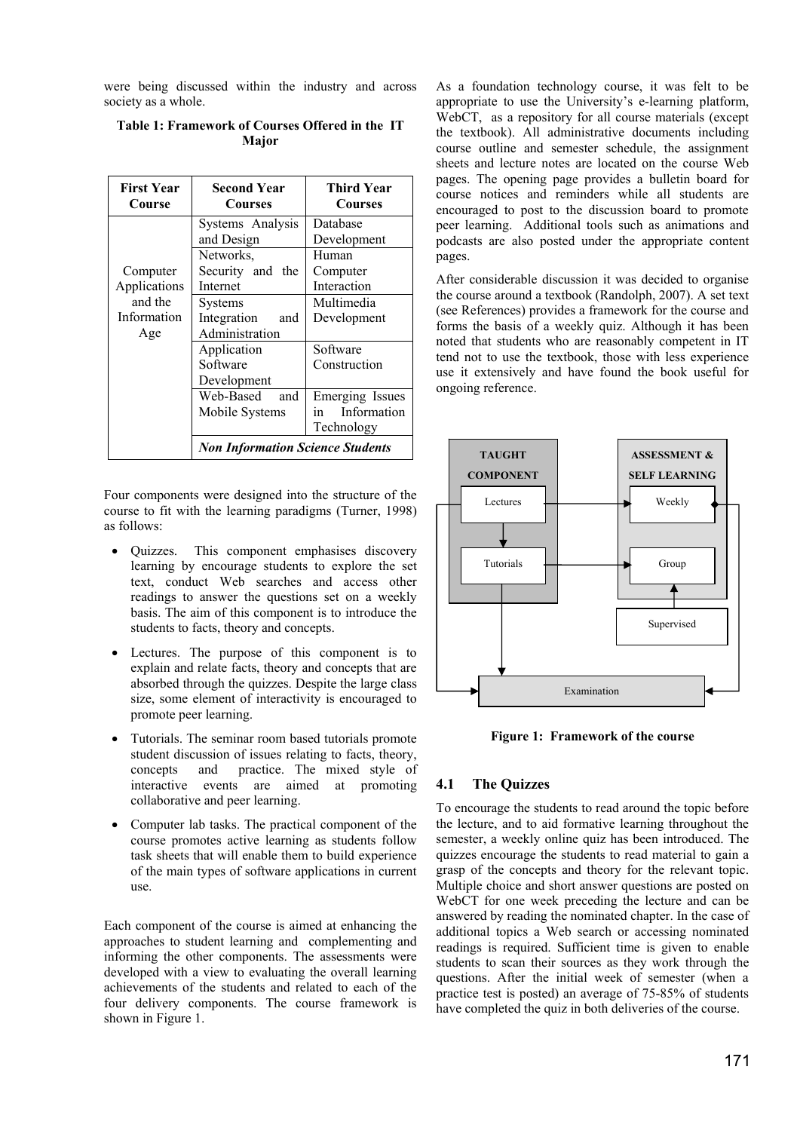were being discussed within the industry and across society as a whole.

| <b>First Year</b><br>Course | <b>Second Year</b><br><b>Courses</b>    | Third Year<br><b>Courses</b> |
|-----------------------------|-----------------------------------------|------------------------------|
|                             | Systems Analysis                        | Database                     |
|                             | and Design                              | Development                  |
|                             | Networks,                               | Human                        |
| Computer                    | Security and the                        | Computer                     |
| Applications                | Internet                                | Interaction                  |
| and the                     | <b>Systems</b>                          | Multimedia                   |
| Information                 | Integration<br>and                      | Development                  |
| Age                         | Administration                          |                              |
|                             | Application                             | Software                     |
|                             | Software                                | Construction                 |
|                             | Development                             |                              |
|                             | Web-Based<br>and                        | Emerging Issues              |
|                             | Mobile Systems                          | Information<br>in            |
|                             |                                         | Technology                   |
|                             | <b>Non Information Science Students</b> |                              |

#### **Table 1: Framework of Courses Offered in the IT Major**

Four components were designed into the structure of the course to fit with the learning paradigms (Turner, 1998) as follows:

- Quizzes. This component emphasises discovery learning by encourage students to explore the set text, conduct Web searches and access other readings to answer the questions set on a weekly basis. The aim of this component is to introduce the students to facts, theory and concepts.
- Lectures. The purpose of this component is to explain and relate facts, theory and concepts that are absorbed through the quizzes. Despite the large class size, some element of interactivity is encouraged to promote peer learning.
- Tutorials. The seminar room based tutorials promote student discussion of issues relating to facts, theory, concepts and practice. The mixed style of interactive events are aimed at promoting collaborative and peer learning.
- Computer lab tasks. The practical component of the course promotes active learning as students follow task sheets that will enable them to build experience of the main types of software applications in current use.

Each component of the course is aimed at enhancing the approaches to student learning and complementing and informing the other components. The assessments were developed with a view to evaluating the overall learning achievements of the students and related to each of the four delivery components. The course framework is shown in Figure 1.

As a foundation technology course, it was felt to be appropriate to use the University's e-learning platform, WebCT, as a repository for all course materials (except the textbook). All administrative documents including course outline and semester schedule, the assignment sheets and lecture notes are located on the course Web pages. The opening page provides a bulletin board for course notices and reminders while all students are encouraged to post to the discussion board to promote peer learning. Additional tools such as animations and podcasts are also posted under the appropriate content pages.

After considerable discussion it was decided to organise the course around a textbook (Randolph, 2007). A set text (see References) provides a framework for the course and forms the basis of a weekly quiz. Although it has been noted that students who are reasonably competent in IT tend not to use the textbook, those with less experience use it extensively and have found the book useful for ongoing reference.



**Figure 1: Framework of the course** 

#### **4.1 The Quizzes**

To encourage the students to read around the topic before the lecture, and to aid formative learning throughout the semester, a weekly online quiz has been introduced. The quizzes encourage the students to read material to gain a grasp of the concepts and theory for the relevant topic. Multiple choice and short answer questions are posted on WebCT for one week preceding the lecture and can be answered by reading the nominated chapter. In the case of additional topics a Web search or accessing nominated readings is required. Sufficient time is given to enable students to scan their sources as they work through the questions. After the initial week of semester (when a practice test is posted) an average of 75-85% of students have completed the quiz in both deliveries of the course.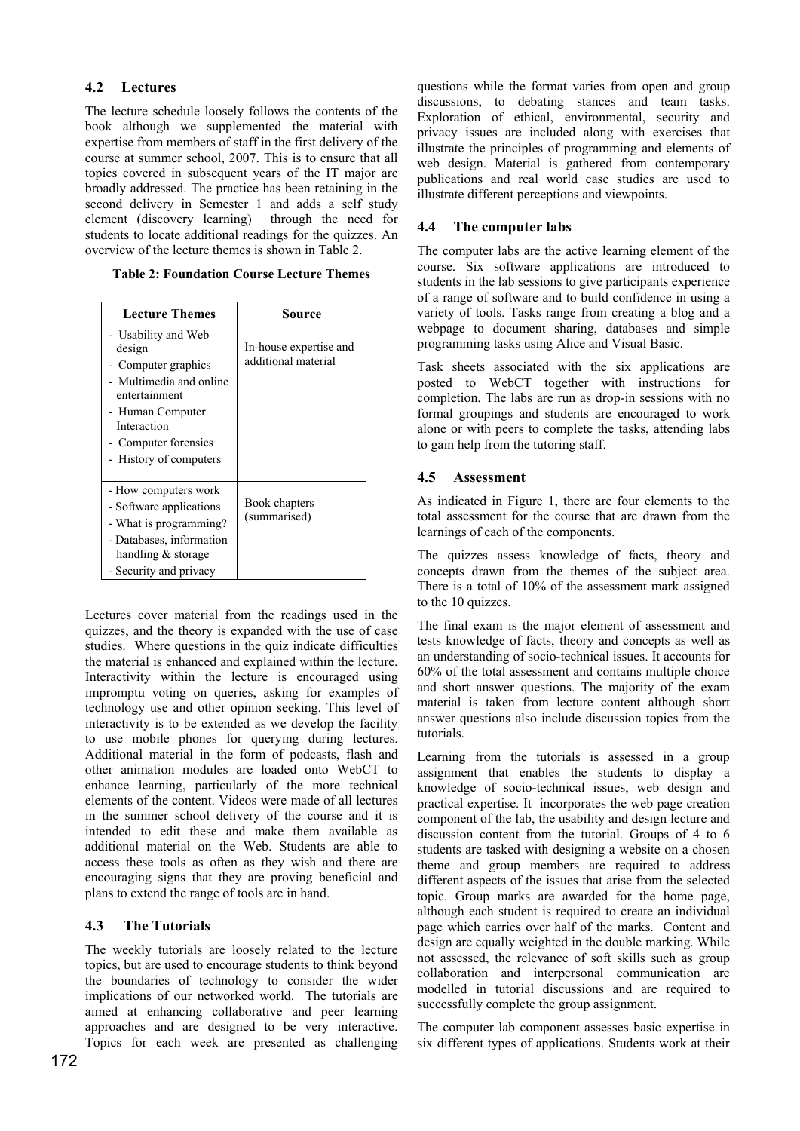## **4.2 Lectures**

The lecture schedule loosely follows the contents of the book although we supplemented the material with expertise from members of staff in the first delivery of the course at summer school, 2007. This is to ensure that all topics covered in subsequent years of the IT major are broadly addressed. The practice has been retaining in the second delivery in Semester 1 and adds a self study<br>element (discovery learning) through the need for element (discovery learning) students to locate additional readings for the quizzes. An overview of the lecture themes is shown in Table 2.

**Table 2: Foundation Course Lecture Themes**

| <b>Lecture Themes</b>                                                                                                                                                                 | Source                                        |
|---------------------------------------------------------------------------------------------------------------------------------------------------------------------------------------|-----------------------------------------------|
| - Usability and Web<br>design<br>- Computer graphics<br>- Multimedia and online<br>entertainment<br>- Human Computer<br>Interaction<br>- Computer forensics<br>- History of computers | In-house expertise and<br>additional material |
| - How computers work<br>- Software applications<br>- What is programming?<br>- Databases, information<br>handling $&$ storage<br>- Security and privacy                               | Book chapters<br>(summarised)                 |

Lectures cover material from the readings used in the quizzes, and the theory is expanded with the use of case studies. Where questions in the quiz indicate difficulties the material is enhanced and explained within the lecture. Interactivity within the lecture is encouraged using impromptu voting on queries, asking for examples of technology use and other opinion seeking. This level of interactivity is to be extended as we develop the facility to use mobile phones for querying during lectures. Additional material in the form of podcasts, flash and other animation modules are loaded onto WebCT to enhance learning, particularly of the more technical elements of the content. Videos were made of all lectures in the summer school delivery of the course and it is intended to edit these and make them available as additional material on the Web. Students are able to access these tools as often as they wish and there are encouraging signs that they are proving beneficial and plans to extend the range of tools are in hand.

## **4.3 The Tutorials**

The weekly tutorials are loosely related to the lecture topics, but are used to encourage students to think beyond the boundaries of technology to consider the wider implications of our networked world. The tutorials are aimed at enhancing collaborative and peer learning approaches and are designed to be very interactive. Topics for each week are presented as challenging

questions while the format varies from open and group discussions, to debating stances and team tasks. Exploration of ethical, environmental, security and privacy issues are included along with exercises that illustrate the principles of programming and elements of web design. Material is gathered from contemporary publications and real world case studies are used to illustrate different perceptions and viewpoints.

# **4.4 The computer labs**

The computer labs are the active learning element of the course. Six software applications are introduced to students in the lab sessions to give participants experience of a range of software and to build confidence in using a variety of tools. Tasks range from creating a blog and a webpage to document sharing, databases and simple programming tasks using Alice and Visual Basic.

Task sheets associated with the six applications are posted to WebCT together with instructions for completion. The labs are run as drop-in sessions with no formal groupings and students are encouraged to work alone or with peers to complete the tasks, attending labs to gain help from the tutoring staff.

# **4.5 Assessment**

As indicated in Figure 1, there are four elements to the total assessment for the course that are drawn from the learnings of each of the components.

The quizzes assess knowledge of facts, theory and concepts drawn from the themes of the subject area. There is a total of 10% of the assessment mark assigned to the 10 quizzes.

The final exam is the major element of assessment and tests knowledge of facts, theory and concepts as well as an understanding of socio-technical issues. It accounts for 60% of the total assessment and contains multiple choice and short answer questions. The majority of the exam material is taken from lecture content although short answer questions also include discussion topics from the tutorials.

Learning from the tutorials is assessed in a group assignment that enables the students to display a knowledge of socio-technical issues, web design and practical expertise. It incorporates the web page creation component of the lab, the usability and design lecture and discussion content from the tutorial. Groups of 4 to 6 students are tasked with designing a website on a chosen theme and group members are required to address different aspects of the issues that arise from the selected topic. Group marks are awarded for the home page, although each student is required to create an individual page which carries over half of the marks. Content and design are equally weighted in the double marking. While not assessed, the relevance of soft skills such as group collaboration and interpersonal communication are modelled in tutorial discussions and are required to successfully complete the group assignment.

The computer lab component assesses basic expertise in six different types of applications. Students work at their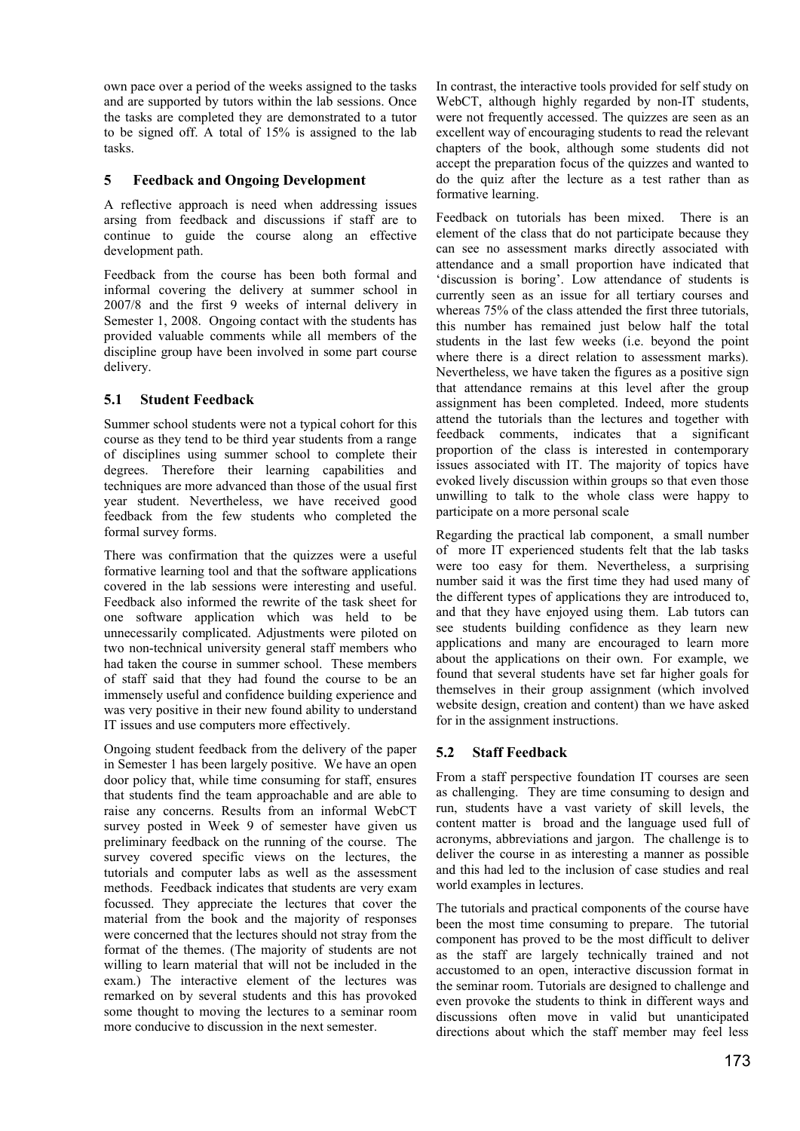own pace over a period of the weeks assigned to the tasks and are supported by tutors within the lab sessions. Once the tasks are completed they are demonstrated to a tutor to be signed off. A total of 15% is assigned to the lab tasks.

#### **5 Feedback and Ongoing Development**

A reflective approach is need when addressing issues arsing from feedback and discussions if staff are to continue to guide the course along an effective development path.

Feedback from the course has been both formal and informal covering the delivery at summer school in 2007/8 and the first 9 weeks of internal delivery in Semester 1, 2008. Ongoing contact with the students has provided valuable comments while all members of the discipline group have been involved in some part course delivery.

### **5.1 Student Feedback**

Summer school students were not a typical cohort for this course as they tend to be third year students from a range of disciplines using summer school to complete their degrees. Therefore their learning capabilities and techniques are more advanced than those of the usual first year student. Nevertheless, we have received good feedback from the few students who completed the formal survey forms.

There was confirmation that the quizzes were a useful formative learning tool and that the software applications covered in the lab sessions were interesting and useful. Feedback also informed the rewrite of the task sheet for one software application which was held to be unnecessarily complicated. Adjustments were piloted on two non-technical university general staff members who had taken the course in summer school. These members of staff said that they had found the course to be an immensely useful and confidence building experience and was very positive in their new found ability to understand IT issues and use computers more effectively.

Ongoing student feedback from the delivery of the paper in Semester 1 has been largely positive. We have an open door policy that, while time consuming for staff, ensures that students find the team approachable and are able to raise any concerns. Results from an informal WebCT survey posted in Week 9 of semester have given us preliminary feedback on the running of the course. The survey covered specific views on the lectures, the tutorials and computer labs as well as the assessment methods. Feedback indicates that students are very exam focussed. They appreciate the lectures that cover the material from the book and the majority of responses were concerned that the lectures should not stray from the format of the themes. (The majority of students are not willing to learn material that will not be included in the exam.) The interactive element of the lectures was remarked on by several students and this has provoked some thought to moving the lectures to a seminar room more conducive to discussion in the next semester.

In contrast, the interactive tools provided for self study on WebCT, although highly regarded by non-IT students, were not frequently accessed. The quizzes are seen as an excellent way of encouraging students to read the relevant chapters of the book, although some students did not accept the preparation focus of the quizzes and wanted to do the quiz after the lecture as a test rather than as formative learning.

Feedback on tutorials has been mixed. There is an element of the class that do not participate because they can see no assessment marks directly associated with attendance and a small proportion have indicated that 'discussion is boring'. Low attendance of students is currently seen as an issue for all tertiary courses and whereas 75% of the class attended the first three tutorials, this number has remained just below half the total students in the last few weeks (i.e. beyond the point where there is a direct relation to assessment marks). Nevertheless, we have taken the figures as a positive sign that attendance remains at this level after the group assignment has been completed. Indeed, more students attend the tutorials than the lectures and together with feedback comments, indicates that a significant proportion of the class is interested in contemporary issues associated with IT. The majority of topics have evoked lively discussion within groups so that even those unwilling to talk to the whole class were happy to participate on a more personal scale

Regarding the practical lab component, a small number of more IT experienced students felt that the lab tasks were too easy for them. Nevertheless, a surprising number said it was the first time they had used many of the different types of applications they are introduced to, and that they have enjoyed using them. Lab tutors can see students building confidence as they learn new applications and many are encouraged to learn more about the applications on their own. For example, we found that several students have set far higher goals for themselves in their group assignment (which involved website design, creation and content) than we have asked for in the assignment instructions.

### **5.2 Staff Feedback**

From a staff perspective foundation IT courses are seen as challenging. They are time consuming to design and run, students have a vast variety of skill levels, the content matter is broad and the language used full of acronyms, abbreviations and jargon. The challenge is to deliver the course in as interesting a manner as possible and this had led to the inclusion of case studies and real world examples in lectures.

The tutorials and practical components of the course have been the most time consuming to prepare. The tutorial component has proved to be the most difficult to deliver as the staff are largely technically trained and not accustomed to an open, interactive discussion format in the seminar room. Tutorials are designed to challenge and even provoke the students to think in different ways and discussions often move in valid but unanticipated directions about which the staff member may feel less